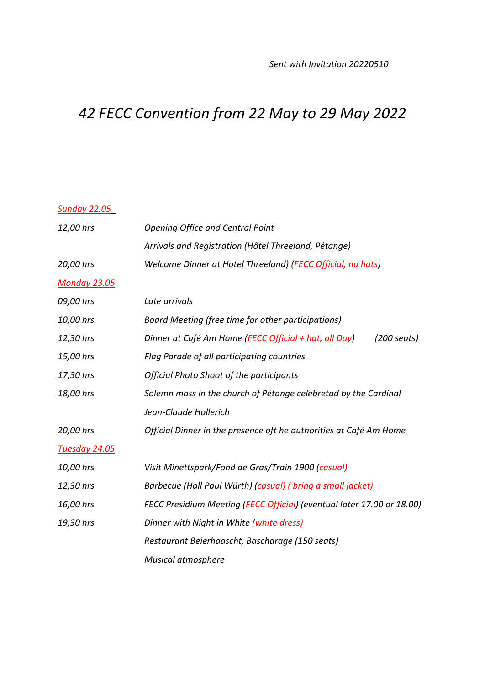## *42 FECC Convention from 22 May to 29 May 2022*

## *Sunday 22.05*

| 12,00 hrs            | <b>Opening Office and Central Point</b>                                        |
|----------------------|--------------------------------------------------------------------------------|
|                      | Arrivals and Registration (Hôtel Threeland, Pétange)                           |
| 20,00 hrs            | Welcome Dinner at Hotel Threeland) (FECC Official, no hats)                    |
| <b>Monday 23.05</b>  |                                                                                |
| 09,00 hrs            | Late arrivals                                                                  |
| 10,00 hrs            | Board Meeting (free time for other participations)                             |
| 12,30 hrs            | Dinner at Café Am Home (FECC Official + hat, all Day)<br>$(200 \text{ seats})$ |
| 15,00 hrs            | Flag Parade of all participating countries                                     |
| 17,30 hrs            | <b>Official Photo Shoot of the participants</b>                                |
| 18,00 hrs            | Solemn mass in the church of Pétange celebretad by the Cardinal                |
|                      | Jean-Claude Hollerich                                                          |
| 20,00 hrs            | Official Dinner in the presence oft he authorities at Café Am Home             |
| <b>Tuesday 24.05</b> |                                                                                |
| 10,00 hrs            | Visit Minettspark/Fond de Gras/Train 1900 (casual)                             |
| 12,30 hrs            | Barbecue (Hall Paul Würth) (casual) (bring a small jacket)                     |
| 16,00 hrs            | FECC Presidium Meeting (FECC Official) (eventual later 17.00 or 18.00)         |
| 19,30 hrs            | Dinner with Night in White (white dress)                                       |
|                      | Restaurant Beierhaascht, Bascharage (150 seats)                                |
|                      | <b>Musical atmosphere</b>                                                      |